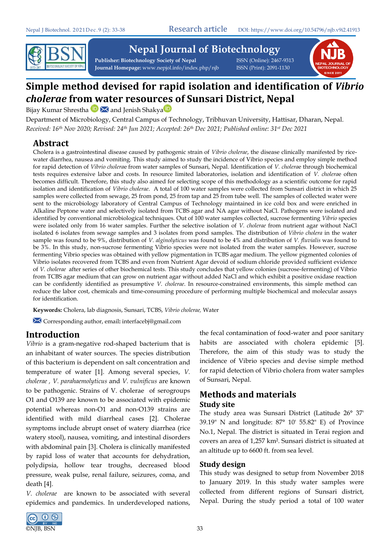

# **Nepal Journal of Biotechnology**

**Publisher: Biotechnology Society of Nepal** ISSN (Online): 2467-9313 **Journal Homepage:** www.nepjol.info/index.php/njb ISSN (Print): 2091-1130



# **Simple method devised for rapid isolation and identification of** *Vibrio cholerae* **from water resources of Sunsari District, Nepal**

BijayKumar Shrestha **D** M and Jenish Shakya D

Department of Microbiology, Central Campus of Technology, Tribhuvan University, Hattisar, Dharan, Nepal. *Received: 16th Nov 2020; Revised: 24th Jun 2021; Accepted: 26th Dec 2021; Published online: 31st Dec 2021*

# **Abstract**

Cholera is a gastrointestinal disease caused by pathogenic strain of *Vibrio cholerae*, the disease clinically manifested by ricewater diarrhea, nausea and vomiting. This study aimed to study the incidence of Vibrio species and employ simple method for rapid detection of *Vibrio cholera*e from water samples of Sunsari, Nepal. Identification of *V. cholera*e through biochemical tests requires extensive labor and costs. In resource limited laboratories, isolation and identification of *V. cholera*e often becomes difficult. Therefore, this study also aimed for selecting scope of this methodology as a scientific outcome for rapid isolation and identification of *Vibrio cholerae*. A total of 100 water samples were collected from Sunsari district in which 25 samples were collected from sewage, 25 from pond, 25 from tap and 25 from tube well. The samples of collected water were sent to the microbiology laboratory of Central Campus of Technology maintained in ice cold box and were enriched in Alkaline Peptone water and selectively isolated from TCBS agar and NA agar without NaCl. Pathogens were isolated and identified by conventional microbiological techniques. Out of 100 water samples collected, sucrose fermenting *Vibrio* species were isolated only from 16 water samples. Further the selective isolation of *V. cholerae* from nutrient agar without NaCl isolated 6 isolates from sewage samples and 3 isolates from pond samples. The distribution of *Vibrio cholera* in the water sample was found to be 9%, distribution of *V. alginolyticus* was found to be 4% and distribution of *V. fluvialis* was found to be 3%. In this study, non-sucrose fermenting Vibrio species were not isolated from the water samples. However, sucrose fermenting Vibrio species was obtained with yellow pigmentation in TCBS agar medium. The yellow pigmented colonies of Vibrio isolates recovered from TCBS and even from Nutrient Agar devoid of sodium chloride provided sufficient evidence of *V. cholerae* after series of other biochemical tests. This study concludes that yellow colonies (sucrose-fermenting) of Vibrio from TCBS agar medium that can grow on nutrient agar without added NaCl and which exhibit a positive oxidase reaction can be confidently identified as presumptive *V. cholerae*. In resource-constrained environments, this simple method can reduce the labor cost, chemicals and time-consuming procedure of performing multiple biochemical and molecular assays for identification.

**Keywords:** Cholera, lab diagnosis, Sunsari, TCBS, *Vibrio cholerae,* Water

Corresponding author, email**:** [interfacebj@gmail.com](mailto:interfacebj@gmail.com)

# **Introduction**

*Vibrio* is a gram-negative rod-shaped bacterium that is an inhabitant of water sources. The species distribution of this bacterium is dependent on salt concentration and temperature of water [1]. Among several species, *V. cholerae , V. parahaemolyticus* and *V. vulnificus* are known to be pathogenic. Strains of V. cholerae of serogroups O1 and O139 are known to be associated with epidemic potential whereas non-O1 and non-O139 strains are identified with mild diarrheal cases [2]. Cholerae symptoms include abrupt onset of watery diarrhea (rice watery stool), nausea, vomiting, and intestinal disorders with abdominal pain [3]. Cholera is clinically manifested by rapid loss of water that accounts for dehydration, polydipsia, hollow tear troughs, decreased blood pressure, weak pulse, renal failure, seizures, coma, and death [4].

*V. cholerae* are known to be associated with several epidemics and pandemics. In underdeveloped nations,



the fecal contamination of food-water and poor sanitary habits are associated with cholera epidemic [5]. Therefore, the aim of this study was to study the incidence of Vibrio species and devise simple method for rapid detection of Vibrio cholera from water samples of Sunsari, Nepal.

# **Methods and materials Study site**

The study area was Sunsari District (Latitude 26° 37' 39.19" N and longitude: 87° 10' 55.82" E) of Province No.1, Nepal. The district is situated in Terai region and covers an area of 1,257 km². Sunsari district is situated at an altitude up to 6600 ft. from sea level.

## **Study design**

This study was designed to setup from November 2018 to January 2019. In this study water samples were collected from different regions of Sunsari district, Nepal. During the study period a total of 100 water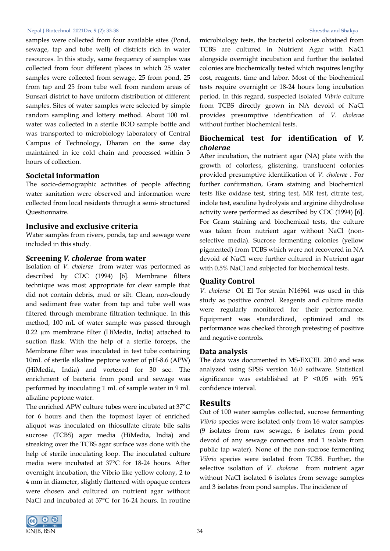samples were collected from four available sites (Pond, sewage, tap and tube well) of districts rich in water resources. In this study, same frequency of samples was collected from four different places in which 25 water samples were collected from sewage, 25 from pond, 25 from tap and 25 from tube well from random areas of Sunsari district to have uniform distribution of different samples. Sites of water samples were selected by simple random sampling and lottery method. About 100 mL water was collected in a sterile BOD sample bottle and was transported to microbiology laboratory of Central Campus of Technology, Dharan on the same day maintained in ice cold chain and processed within 3 hours of collection.

#### **Societal information**

The socio-demographic activities of people affecting water sanitation were observed and information were collected from local residents through a semi- structured Questionnaire.

#### **Inclusive and exclusive criteria**

Water samples from rivers, ponds, tap and sewage were included in this study.

#### **Screening** *V. cholerae* **from water**

Isolation of *V. cholerae* from water was performed as described by CDC (1994) [6]. Membrane filters technique was most appropriate for clear sample that did not contain debris, mud or silt. Clean, non-cloudy and sediment free water from tap and tube well was filtered through membrane filtration technique. In this method, 100 mL of water sample was passed through 0.22 µm membrane filter (HiMedia, India) attached to suction flask. With the help of a sterile forceps, the Membrane filter was inoculated in test tube containing 10mL of sterile alkaline peptone water of pH-8.6 (APW) (HiMedia, India) and vortexed for 30 sec. The enrichment of bacteria from pond and sewage was performed by inoculating 1 mL of sample water in 9 mL alkaline peptone water.

The enriched APW culture tubes were incubated at 37°C for 6 hours and then the topmost layer of enriched aliquot was inoculated on thiosulfate citrate bile salts sucrose (TCBS) agar media (HiMedia, India) and streaking over the TCBS agar surface was done with the help of sterile inoculating loop. The inoculated culture media were incubated at 37°C for 18-24 hours. After overnight incubation, the Vibrio like yellow colony, 2 to 4 mm in diameter, slightly flattened with opaque centers were chosen and cultured on nutrient agar without NaCl and incubated at 37°C for 16-24 hours. In routine



microbiology tests, the bacterial colonies obtained from TCBS are cultured in Nutrient Agar with NaCl alongside overnight incubation and further the isolated colonies are biochemically tested which requires lengthy cost, reagents, time and labor. Most of the biochemical tests require overnight or 18-24 hours long incubation period. In this regard, suspected isolated *Vibrio* culture from TCBS directly grown in NA devoid of NaCl provides presumptive identification of *V. cholerae*  without further biochemical tests.

## **Biochemical test for identification of** *V. cholerae*

After incubation, the nutrient agar (NA) plate with the growth of colorless, glistening, translucent colonies provided presumptive identification of *V. cholerae* . For further confirmation, Gram staining and biochemical tests like oxidase test, string test, MR test, citrate test, indole test, esculine hydrolysis and arginine dihydrolase activity were performed as described by CDC (1994) [6]. For Gram staining and biochemical tests, the culture was taken from nutrient agar without NaCl (nonselective media). Sucrose fermenting colonies (yellow pigmented) from TCBS which were not recovered in NA devoid of NaCl were further cultured in Nutrient agar with 0.5% NaCl and subjected for biochemical tests.

#### **Quality Control**

*V. cholerae* O1 El Tor strain N16961 was used in this study as positive control. Reagents and culture media were regularly monitored for their performance. Equipment was standardized, optimized and its performance was checked through pretesting of positive and negative controls.

#### **Data analysis**

The data was documented in MS-EXCEL 2010 and was analyzed using SPSS version 16.0 software. Statistical significance was established at P <0.05 with 95% confidence interval.

#### **Results**

Out of 100 water samples collected, sucrose fermenting *Vibrio* species were isolated only from 16 water samples (9 isolates from raw sewage, 6 isolates from pond devoid of any sewage connections and 1 isolate from public tap water). None of the non-sucrose fermenting *Vibrio* species were isolated from TCBS. Further, the selective isolation of *V. cholerae* from nutrient agar without NaCl isolated 6 isolates from sewage samples and 3 isolates from pond samples. The incidence of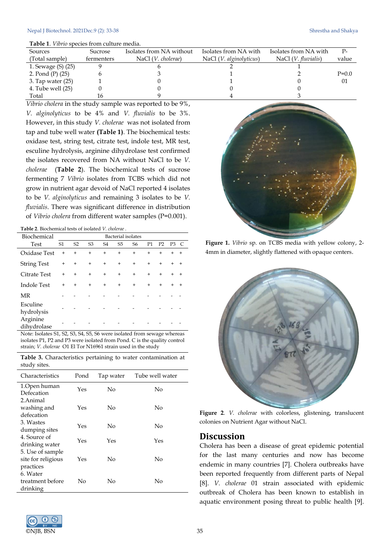| Sources             | Sucrose    | Isolates from NA without    | Isolates from NA with            | Isolates from NA with | $P-$    |
|---------------------|------------|-----------------------------|----------------------------------|-----------------------|---------|
| (Total sample)      | fermenters | NaCl ( <i>V. cholerae</i> ) | NaCl ( <i>V. alginolyticus</i> ) | NaCl $(V.$ fluvialis) | value   |
| 1. Sewage (S) (25)  |            |                             |                                  |                       |         |
| 2. Pond (P) (25)    |            |                             |                                  |                       | $P=0.0$ |
| 3. Tap water $(25)$ |            |                             |                                  |                       | 01      |
| 4. Tube well $(25)$ |            |                             |                                  |                       |         |
| Total               |            |                             |                                  |                       |         |

*Vibrio cholera* in the study sample was reported to be 9%, *V. alginolyticus* to be 4% and *V. fluvialis* to be 3%. However, in this study *V. cholerae* was not isolated from tap and tube well water **(Table 1)**. The biochemical tests: oxidase test, string test, citrate test, indole test, MR test, esculine hydrolysis, arginine dihydrolase test confirmed the isolates recovered from NA without NaCl to be *V. cholerae* (**Table 2**). The biochemical tests of sucrose fermenting 7 *Vibrio* isolates from TCBS which did not grow in nutrient agar devoid of NaCl reported 4 isolates to be *V. alginolyticus* and remaining 3 isolates to be *V. fluvialis*. There was significant difference in distribution of *Vibrio cholera* from different water samples (P=0.001).

| Biochemical             | Bacterial isolates |                |                |                |                |                |                |                |                |           |
|-------------------------|--------------------|----------------|----------------|----------------|----------------|----------------|----------------|----------------|----------------|-----------|
| <b>Test</b>             | S <sub>1</sub>     | S <sub>2</sub> | S <sub>3</sub> | S <sub>4</sub> | S <sub>5</sub> | S <sub>6</sub> | P <sub>1</sub> | P <sub>2</sub> | P <sub>3</sub> | C         |
| Oxidase Test            | $+$                | $+$            | $+$            | $\ddot{}$      | $+$            | $^{+}$         | $+$            | $+$            | $\ddot{}$      | $\ddot{}$ |
| <b>String Test</b>      | $\ddot{}$          | $+$            | $+$            | $+$            | $+$            | $+$            | $+$            | $+$            | $\ddot{}$      | $+$       |
| <b>Citrate Test</b>     | $+$                | $+$            | $+$            | $+$            | $+$            | $+$            | $+$            | $+$            | $\ddot{}$      | $+$       |
| <b>Indole Test</b>      | $\ddot{}$          | $+$            | $+$            | $^{+}$         | $+$            | $^{+}$         | $+$            | $+$            | $\ddot{}$      | $+$       |
| MR                      |                    |                |                |                |                |                |                |                |                |           |
| Esculine<br>hydrolysis  |                    |                |                |                |                |                |                |                |                |           |
| Arginine<br>dihydrolase |                    |                |                |                |                |                |                |                |                |           |

Note: Isolates S1, S2, S3, S4, S5, S6 were isolated from sewage whereas isolates P1, P2 and P3 were isolated from Pond. C is the quality control strain; *V. cholerae* O1 El Tor N16961 strain used in the study

**Table 3.** Characteristics pertaining to water contamination at study sites.

| Characteristics                        | Pond | Tap water | Tube well water |
|----------------------------------------|------|-----------|-----------------|
| 1.Open human<br>Defecation             | Yes  | No        | No              |
| 2.Animal<br>washing and                | Yes  | No        | No              |
| defecation                             |      |           |                 |
| 3. Wastes<br>dumping sites             | Yes  | No        | No              |
| 4. Source of<br>drinking water         | Yes  | Yes       | Yes             |
| 5. Use of sample<br>site for religious | Yes  | No        | No              |
| practices<br>6. Water                  |      |           |                 |
| treatment before<br>drinking           | No   | No        | No              |





**Figure 1.** *Vibrio* sp. on TCBS media with yellow colony, 2- 4mm in diameter, slightly flattened with opaque centers.



**Figure 2**. *V. cholerae* with colorless, glistening, translucent colonies on Nutrient Agar without NaCl.

#### **Discussion**

Cholera has been a disease of great epidemic potential for the last many centuries and now has become endemic in many countries [7]. Cholera outbreaks have been reported frequently from different parts of Nepal [8]. *V. cholerae* 01 strain associated with epidemic outbreak of Cholera has been known to establish in aquatic environment posing threat to public health [9].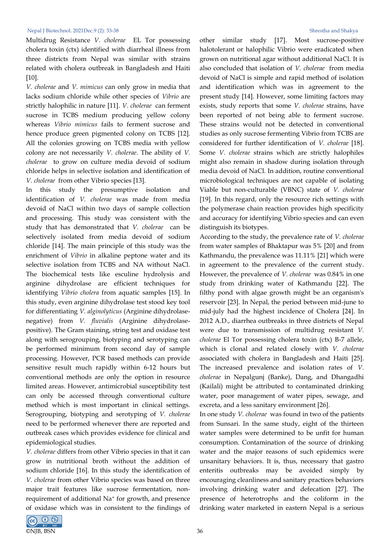Multidrug Resistance *V. cholerae* EL Tor possessing cholera toxin (ctx) identified with diarrheal illness from three districts from Nepal was similar with strains related with cholera outbreak in Bangladesh and Haiti [10].

*V. cholerae* and *V. mimicus* can only grow in media that lacks sodium chloride while other species of *Vibrio* are strictly halophilic in nature [11]. *V. cholerae* can ferment sucrose in TCBS medium producing yellow colony whereas *Vibrio mimicus* fails to ferment sucrose and hence produce green pigmented colony on TCBS [12]. All the colonies growing on TCBS media with yellow colony are not necessarily *V. cholerae*. The ability of *V. cholerae* to grow on culture media devoid of sodium chloride helps in selective isolation and identification of *V. cholerae* from other Vibrio species [13].

In this study the presumptive isolation and identification of *V. cholerae* was made from media devoid of NaCl within two days of sample collection and processing. This study was consistent with the study that has demonstrated that *V. cholerae* can be selectively isolated from media devoid of sodium chloride [14]. The main principle of this study was the enrichment of *Vibrio* in alkaline peptone water and its selective isolation from TCBS and NA without NaCl. The biochemical tests like esculine hydrolysis and arginine dihydrolase are efficient techniques for identifying *Vibrio cholera* from aquatic samples [15]. In this study, even arginine dihydrolase test stood key tool for differentiating *V. alginolyticus* (Arginine dihydrolasenegative) from *V. fluvialis* (Arginine dihydrolasepositive). The Gram staining, string test and oxidase test along with serogrouping, biotyping and serotyping can be performed minimum from second day of sample processing. However, PCR based methods can provide sensitive result much rapidly within 6-12 hours but conventional methods are only the option in resource limited areas. However, antimicrobial susceptibility test can only be accessed through conventional culture method which is most important in clinical settings. Serogrouping, biotyping and serotyping of *V. cholerae*  need to be performed whenever there are reported and outbreak cases which provides evidence for clinical and epidemiological studies.

*V. cholerae* differs from other Vibrio species in that it can grow in nutritional broth without the addition of sodium chloride [16]. In this study the identification of *V. cholerae* from other Vibrio species was based on three major trait features like sucrose fermentation, nonrequirement of additional Na+ for growth, and presence of oxidase which was in consistent to the findings of



other similar study [17]. Most sucrose-positive halotolerant or halophilic Vibrio were eradicated when grown on nutritional agar without additional NaCl. It is also concluded that isolation of *V. cholerae* from media devoid of NaCl is simple and rapid method of isolation and identification which was in agreement to the present study [14]. However, some limiting factors may exists, study reports that some *V. cholerae* strains, have been reported of not being able to ferment sucrose. These strains would not be detected in conventional studies as only sucrose fermenting Vibrio from TCBS are considered for further identification of *V. cholerae* [18]. Some *V. cholerae* strains which are strictly halophiles might also remain in shadow during isolation through media devoid of NaCl. In addition, routine conventional microbiological techniques are not capable of isolating Viable but non-culturable (VBNC) state of *V. cholerae*  [19]. In this regard, only the resource rich settings with the polymerase chain reaction provides high specificity and accuracy for identifying Vibrio species and can even distinguish its biotypes.

According to the study, the prevalence rate of *V. cholerae*  from water samples of Bhaktapur was 5% [20] and from Kathmandu, the prevalence was 11.11% [21] which were in agreement to the prevalence of the current study. However, the prevalence of *V. cholerae* was 0.84% in one study from drinking water of Kathmandu [22]. The filthy pond with algae growth might be an organism's reservoir [23]. In Nepal, the period between mid-june to mid-july had the highest incidence of Cholera [24]. In 2012 A.D., diarrhea outbreaks in three districts of Nepal were due to transmission of multidrug resistant *V. cholerae* El Tor possessing cholera toxin (ctx) B-7 allele, which is clonal and related closely with *V. cholerae* associated with cholera in Bangladesh and Haiti [25]. The increased prevalence and isolation rates of *V. cholerae* in Nepalgunj (Banke), Dang, and Dhangadhi (Kailali) might be attributed to contaminated drinking water, poor management of water pipes, sewage, and excreta, and a less sanitary environment [26].

In one study *V. cholerae* was found in two of the patients from Sunsari. In the same study, eight of the thirteen water samples were determined to be unfit for human consumption. Contamination of the source of drinking water and the major reasons of such epidemics were unsanitary behaviors. It is, thus, necessary that gastro enteritis outbreaks may be avoided simply by encouraging cleanliness and sanitary practices behaviors involving drinking water and defecation [27]. The presence of heterotrophs and the coliform in the drinking water marketed in eastern Nepal is a serious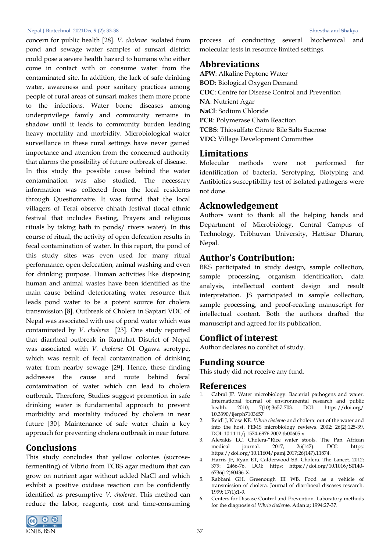concern for public health [28]. *V. cholerae* isolated from pond and sewage water samples of sunsari district could pose a severe health hazard to humans who either come in contact with or consume water from the contaminated site. In addition, the lack of safe drinking water, awareness and poor sanitary practices among people of rural areas of sunsari makes them more prone to the infections. Water borne diseases among underprivilege family and community remains in shadow until it leads to community burden leading heavy mortality and morbidity. Microbiological water surveillance in these rural settings have never gained importance and attention from the concerned authority that alarms the possibility of future outbreak of disease.

In this study the possible cause behind the water contamination was also studied. The necessary information was collected from the local residents through Questionnaire. It was found that the local villagers of Terai observe chhath festival (local ethnic festival that includes Fasting, Prayers and religious rituals by taking bath in ponds/ rivers water). In this course of ritual, the activity of open defecation results in fecal contamination of water. In this report, the pond of this study sites was even used for many ritual performance, open defecation, animal washing and even for drinking purpose. Human activities like disposing human and animal wastes have been identified as the main cause behind deteriorating water resource that leads pond water to be a potent source for cholera transmission [8]. Outbreak of Cholera in Saptari VDC of Nepal was associated with use of pond water which was contaminated by *V. cholerae* [23]. One study reported that diarrheal outbreak in Rautahat District of Nepal was associated with *V. cholerae* O1 Ogawa serotype, which was result of fecal contamination of drinking water from nearby sewage [29]. Hence, these finding addresses the cause and route behind fecal contamination of water which can lead to cholera outbreak. Therefore, Studies suggest promotion in safe drinking water is fundamental approach to prevent morbidity and mortality induced by cholera in near future [30]. Maintenance of safe water chain a key approach for preventing cholera outbreak in near future.

## **Conclusions**

This study concludes that yellow colonies (sucrosefermenting) of Vibrio from TCBS agar medium that can grow on nutrient agar without added NaCl and which exhibit a positive oxidase reaction can be confidently identified as presumptive *V. cholerae*. This method can reduce the labor, reagents, cost and time-consuming



process of conducting several biochemical and molecular tests in resource limited settings.

## **Abbreviations**

**APW**: Alkaline Peptone Water **BOD**: Biological Oxygen Demand **CDC**: Centre for Disease Control and Prevention **NA**: Nutrient Agar **NaCl**: Sodium Chloride **PCR**: Polymerase Chain Reaction **TCBS**: Thiosulfate Citrate Bile Salts Sucrose **VDC**: Village Development Committee

## **Limitations**

Molecular methods were not performed for identification of bacteria. Serotyping, Biotyping and Antibiotics susceptibility test of isolated pathogens were not done.

## **Acknowledgement**

Authors want to thank all the helping hands and Department of Microbiology, Central Campus of Technology, Tribhuvan University, Hattisar Dharan, Nepal.

# **Author's Contribution:**

BKS participated in study design, sample collection, sample processing, organism identification, data analysis, intellectual content design and result interpretation. JS participated in sample collection, sample processing, and proof-reading manuscript for intellectual content. Both the authors drafted the manuscript and agreed for its publication.

# **Conflict of interest**

Author declares no conflict of study.

## **Funding source**

This study did not receive any fund.

## **References**

- Cabral JP. Water microbiology. Bacterial pathogens and water. International journal of environmental research and public health. 2010; 7(10):3657-703. DOI: https://doi.org/ 10.3390/ijerph7103657
- 2. Reidl J, Klose KE. *Vibrio cholera*e and cholera: out of the water and into the host. FEMS microbiology reviews. 2002; 26(2):125-39. DOI[: 10.1111/j.1574-6976.2002.tb00605.x.](https://doi.org/10.1111/j.1574-6976.2002.tb00605.x)
- 3. Alexakis LC. Cholera-"Rice water stools. The Pan African medical journal. 2017, 26(147). DOI: [https:](https://doi.org/10.11604/pamj.2017;26(147).11874)  [https://doi.org/10.11604/pamj.2017;26\(147\).11874.](https://doi.org/10.11604/pamj.2017;26(147).11874)
- 4. Harris JF, Ryan ET, Calderwood SB. Cholera. The Lancet. 2012; 379: 2466-76. DOI: [https: https://doi.org/10.1016/S0140-](https://doi.org/10.1016/S0140-6736(12)60436-X) [6736\(12\)60436-X.](https://doi.org/10.1016/S0140-6736(12)60436-X)
- 5. Rabbani GH, Greenough III WB. Food as a vehicle of transmission of cholera. Journal of diarrhoeal diseases research. 1999; 17(1):1-9.
- 6. Centers for Disease Control and Prevention. Laboratory methods for the diagnosis of *Vibrio cholera*e. Atlanta; 1994:27-37.